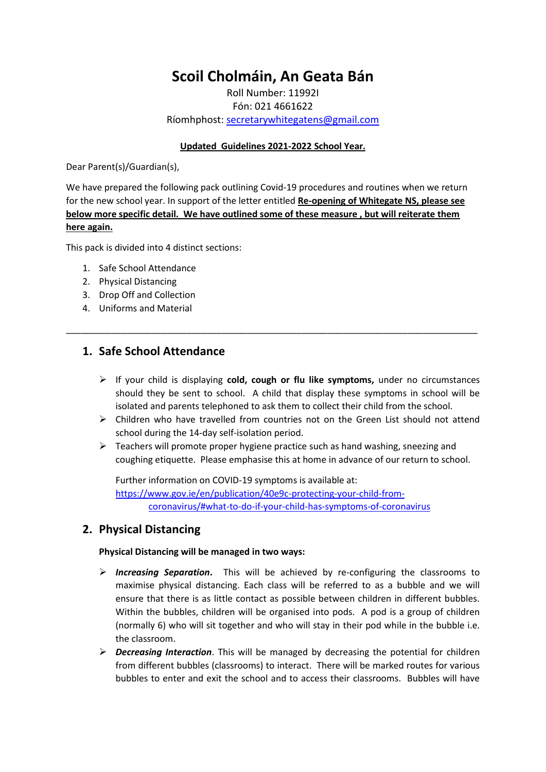# **Scoil Cholmáin, An Geata Bán**

Roll Number: 11992I Fón: 021 4661622 Ríomhphost: [secretarywhitegatens@gmail.com](mailto:secretarywhitegatens@gmail.com) 

### **Updated Guidelines 2021-2022 School Year.**

Dear Parent(s)/Guardian(s),

We have prepared the following pack outlining Covid-19 procedures and routines when we return for the new school year. In support of the letter entitled **Re-opening of Whitegate NS, please see below more specific detail. We have outlined some of these measure , but will reiterate them here again.**

\_\_\_\_\_\_\_\_\_\_\_\_\_\_\_\_\_\_\_\_\_\_\_\_\_\_\_\_\_\_\_\_\_\_\_\_\_\_\_\_\_\_\_\_\_\_\_\_\_\_\_\_\_\_\_\_\_\_\_\_\_\_\_\_\_\_\_\_\_\_\_\_\_\_\_\_\_\_\_\_\_\_

This pack is divided into 4 distinct sections:

- 1. Safe School Attendance
- 2. Physical Distancing
- 3. Drop Off and Collection
- 4. Uniforms and Material

## **1. Safe School Attendance**

- If your child is displaying **cold, cough or flu like symptoms,** under no circumstances should they be sent to school. A child that display these symptoms in school will be isolated and parents telephoned to ask them to collect their child from the school.
- $\triangleright$  Children who have travelled from countries not on the Green List should not attend school during the 14-day self-isolation period.
- $\triangleright$  Teachers will promote proper hygiene practice such as hand washing, sneezing and coughing etiquette. Please emphasise this at home in advance of our return to school.

Further information on COVID-19 symptoms is available at: [https://www.gov.ie/en/publication/40e9c-protecting-your-child-from](https://www.gov.ie/en/publication/40e9c-protecting-your-child-from-coronavirus/#what-to-do-if-your-child-has-symptoms-of-coronavirus)[coronavirus/#what-to-do-if-your-child-has-symptoms-of-coronavirus](https://www.gov.ie/en/publication/40e9c-protecting-your-child-from-coronavirus/#what-to-do-if-your-child-has-symptoms-of-coronavirus)

## **2. Physical Distancing**

#### **Physical Distancing will be managed in two ways:**

- *Increasing Separation***.** This will be achieved by re-configuring the classrooms to maximise physical distancing. Each class will be referred to as a bubble and we will ensure that there is as little contact as possible between children in different bubbles. Within the bubbles, children will be organised into pods. A pod is a group of children (normally 6) who will sit together and who will stay in their pod while in the bubble i.e. the classroom.
- *Decreasing Interaction*. This will be managed by decreasing the potential for children from different bubbles (classrooms) to interact. There will be marked routes for various bubbles to enter and exit the school and to access their classrooms. Bubbles will have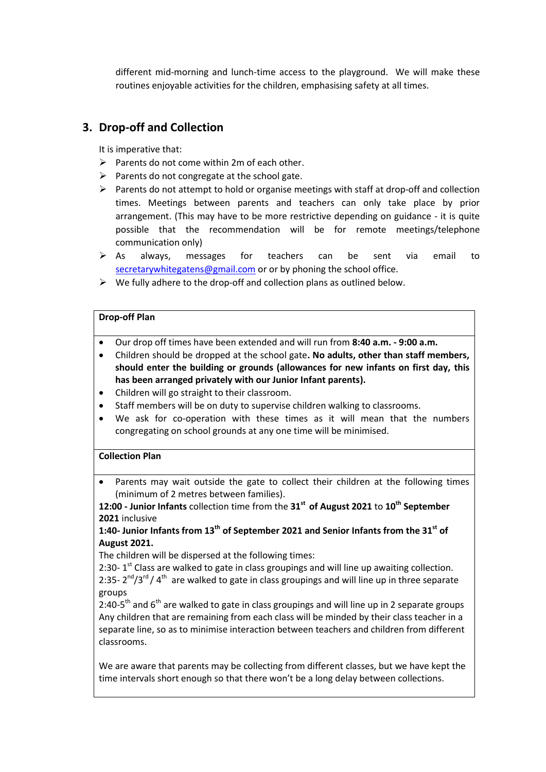different mid-morning and lunch-time access to the playground. We will make these routines enjoyable activities for the children, emphasising safety at all times.

# **3. Drop-off and Collection**

It is imperative that:

- $\triangleright$  Parents do not come within 2m of each other.
- $\triangleright$  Parents do not congregate at the school gate.
- $\triangleright$  Parents do not attempt to hold or organise meetings with staff at drop-off and collection times. Meetings between parents and teachers can only take place by prior arrangement. (This may have to be more restrictive depending on guidance - it is quite possible that the recommendation will be for remote meetings/telephone communication only)
- $\triangleright$  As always, messages for teachers can be sent via email to [secretarywhitegatens@gmail.com](mailto:secretarywhitegatens@gmail.com) or or by phoning the school office.
- $\triangleright$  We fully adhere to the drop-off and collection plans as outlined below.

#### **Drop-off Plan**

- Our drop off times have been extended and will run from **8:40 a.m. - 9:00 a.m.**
- Children should be dropped at the school gate**. No adults, other than staff members, should enter the building or grounds (allowances for new infants on first day, this has been arranged privately with our Junior Infant parents).**
- Children will go straight to their classroom.
- Staff members will be on duty to supervise children walking to classrooms.
- We ask for co-operation with these times as it will mean that the numbers congregating on school grounds at any one time will be minimised.

#### **Collection Plan**

 Parents may wait outside the gate to collect their children at the following times (minimum of 2 metres between families).

**12:00 - Junior Infants** collection time from the **31st of August 2021** to **10th September 2021** inclusive

### **1:40- Junior Infants from 13th of September 2021 and Senior Infants from the 31st of August 2021.**

The children will be dispersed at the following times:

2:30-  $1<sup>st</sup>$  Class are walked to gate in class groupings and will line up awaiting collection. 2:35-  $2^{nd}/3^{rd}/4^{th}$  are walked to gate in class groupings and will line up in three separate groups

2:40-5<sup>th</sup> and 6<sup>th</sup> are walked to gate in class groupings and will line up in 2 separate groups Any children that are remaining from each class will be minded by their class teacher in a separate line, so as to minimise interaction between teachers and children from different classrooms.

We are aware that parents may be collecting from different classes, but we have kept the time intervals short enough so that there won't be a long delay between collections.